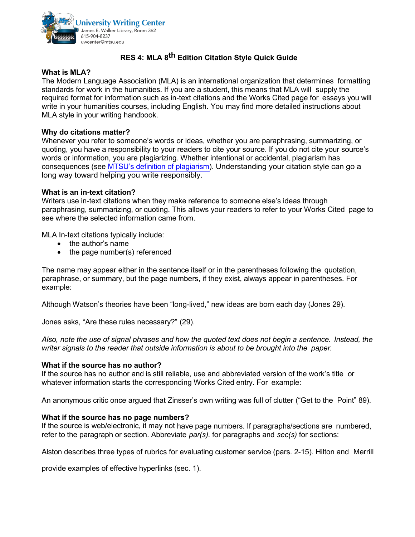

# **RES 4: MLA 8 th Edition Citation Style Quick Guide**

## **What is MLA?**

The Modern Language Association (MLA) is an international organization that determines formatting standards for work in the humanities. If you are a student, this means that MLA will supply the required format for information such as in-text citations and the Works Cited page for essays you will write in your humanities courses, including English. You may find more detailed instructions about MLA style in your writing handbook.

#### **Why do citations matter?**

Whenever you refer to someone's words or ideas, whether you are paraphrasing, summarizing, or quoting, you have a responsibility to your readers to cite your source. If you do not cite your source's words or information, you are plagiarizing. Whether intentional or accidental, plagiarism has consequences (see MTSU's definition of plagiarism). Understanding your citation style can go a long way toward helping you write responsibly.

#### **What is an in-text citation?**

Writers use in-text citations when they make reference to someone else's ideas through paraphrasing, summarizing, or quoting. This allows your readers to refer to your Works Cited page to see where the selected information came from.

MLA In-text citations typically include:

- the author's name
- the page number(s) referenced

The name may appear either in the sentence itself or in the parentheses following the quotation, paraphrase, or summary, but the page numbers, if they exist, always appear in parentheses. For example:

Although Watson's theories have been "long-lived," new ideas are born each day (Jones 29).

Jones asks, "Are these rules necessary?" (29).

*Also, note the use of signal phrases and how the quoted text does not begin a sentence. Instead, the writer signals to the reader that outside information is about to be brought into the paper.*

#### **What if the source has no author?**

If the source has no author and is still reliable, use and abbreviated version of the work's title or whatever information starts the corresponding Works Cited entry. For example:

An anonymous critic once argued that Zinsser's own writing was full of clutter ("Get to the Point" 89).

#### **What if the source has no page numbers?**

If the source is web/electronic, it may not have page numbers. If paragraphs/sections are numbered, refer to the paragraph or section. Abbreviate *par(s).* for paragraphs and *sec(s)* for sections:

Alston describes three types of rubrics for evaluating customer service (pars. 2-15). Hilton and Merrill

provide examples of effective hyperlinks (sec. 1).